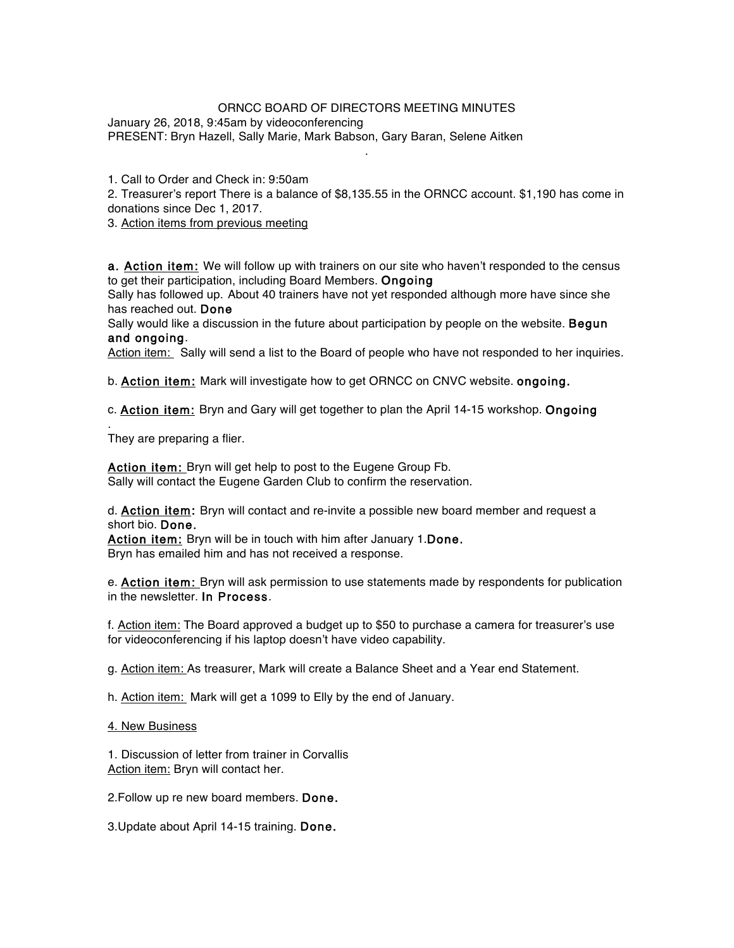## ORNCC BOARD OF DIRECTORS MEETING MINUTES

.

January 26, 2018, 9:45am by videoconferencing PRESENT: Bryn Hazell, Sally Marie, Mark Babson, Gary Baran, Selene Aitken

1. Call to Order and Check in: 9:50am

2. Treasurer's report There is a balance of \$8,135.55 in the ORNCC account. \$1,190 has come in donations since Dec 1, 2017.

3. Action items from previous meeting

a. Action item: We will follow up with trainers on our site who haven't responded to the census to get their participation, including Board Members. Ongoing

Sally has followed up. About 40 trainers have not yet responded although more have since she has reached out. Done

Sally would like a discussion in the future about participation by people on the website. Begun and ongoing.

Action item: Sally will send a list to the Board of people who have not responded to her inquiries.

b. **Action item:** Mark will investigate how to get ORNCC on CNVC website. ongoing.

c. Action item: Bryn and Gary will get together to plan the April 14-15 workshop. Ongoing

. They are preparing a flier.

Action item: Bryn will get help to post to the Eugene Group Fb. Sally will contact the Eugene Garden Club to confirm the reservation.

d. Action item: Bryn will contact and re-invite a possible new board member and request a short bio. Done.

Action item: Bryn will be in touch with him after January 1.Done. Bryn has emailed him and has not received a response.

e. **Action item:** Bryn will ask permission to use statements made by respondents for publication in the newsletter. In Process.

f. Action item: The Board approved a budget up to \$50 to purchase a camera for treasurer's use for videoconferencing if his laptop doesn't have video capability.

g. Action item: As treasurer, Mark will create a Balance Sheet and a Year end Statement.

h. Action item: Mark will get a 1099 to Elly by the end of January.

4. New Business

1. Discussion of letter from trainer in Corvallis Action item: Bryn will contact her.

2.Follow up re new board members. Done.

3.Update about April 14-15 training. Done.